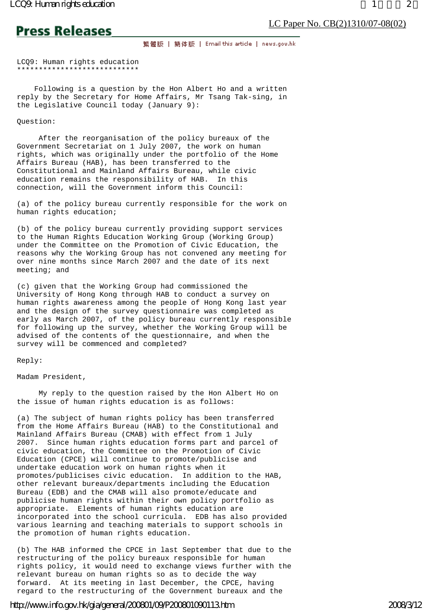**Press Releases** 

繁體版 | 簡体版 | Email this article | news.gov.hk

LCQ9: Human rights education \*\*\*\*\*\*\*\*\*\*\*\*\*\*\*\*\*\*\*\*\*\*\*\*\*\*\*\*

 Following is a question by the Hon Albert Ho and a written reply by the Secretary for Home Affairs, Mr Tsang Tak-sing, in the Legislative Council today (January 9):

Question:

 After the reorganisation of the policy bureaux of the Government Secretariat on 1 July 2007, the work on human rights, which was originally under the portfolio of the Home Affairs Bureau (HAB), has been transferred to the Constitutional and Mainland Affairs Bureau, while civic education remains the responsibility of HAB. In this connection, will the Government inform this Council:

(a) of the policy bureau currently responsible for the work on human rights education;

(b) of the policy bureau currently providing support services to the Human Rights Education Working Group (Working Group) under the Committee on the Promotion of Civic Education, the reasons why the Working Group has not convened any meeting for over nine months since March 2007 and the date of its next meeting; and

(c) given that the Working Group had commissioned the University of Hong Kong through HAB to conduct a survey on human rights awareness among the people of Hong Kong last year and the design of the survey questionnaire was completed as early as March 2007, of the policy bureau currently responsible for following up the survey, whether the Working Group will be advised of the contents of the questionnaire, and when the survey will be commenced and completed?

Reply:

Madam President,

 My reply to the question raised by the Hon Albert Ho on the issue of human rights education is as follows:

(a) The subject of human rights policy has been transferred from the Home Affairs Bureau (HAB) to the Constitutional and Mainland Affairs Bureau (CMAB) with effect from 1 July 2007. Since human rights education forms part and parcel of civic education, the Committee on the Promotion of Civic Education (CPCE) will continue to promote/publicise and undertake education work on human rights when it promotes/publicises civic education. In addition to the HAB, other relevant bureaux/departments including the Education Bureau (EDB) and the CMAB will also promote/educate and publicise human rights within their own policy portfolio as appropriate. Elements of human rights education are incorporated into the school curricula. EDB has also provided various learning and teaching materials to support schools in the promotion of human rights education.

(b) The HAB informed the CPCE in last September that due to the restructuring of the policy bureaux responsible for human rights policy, it would need to exchange views further with the relevant bureau on human rights so as to decide the way forward. At its meeting in last December, the CPCE, having regard to the restructuring of the Government bureaux and the

## http://www.info.gov.hk/gia/general/200801/09/P200801090113.htm 2008/3/12